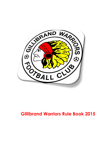

# **Gillibrand Warriors Rule Book 2015**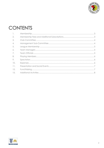

# CONTENTS

| $\mathbb{I}$ .   |  |
|------------------|--|
| 2.               |  |
| 3.               |  |
| $\overline{4}$ . |  |
| 5.               |  |
| 6.               |  |
| 7.               |  |
| 8.               |  |
| 9.               |  |
| 10.              |  |
| 11.              |  |
| 12.              |  |
| 13.              |  |

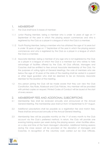

#### <span id="page-2-0"></span>1. MEMBERSHIP

- 1.1 The Club shall have 3 classes of member:
- 1.1.1 Junior Playing Member, being a member who is under 16 years of age on 1st September of the year in which the playing season commences and who is registered by the Club as a player in a league of which the Club is a member.
- 1.1.2 Youth Playing Member, being a member who has attained the age of 16 years but is under 18 years of age on 1<sup>st</sup> September of the year in which the playing season commences and who is registered by the Club as a player in a league of which the Club is a member.
- 1.1.3 Associate Member, being a member of any age who is not registered by the Club as a player in a league of which the Club is a member but who wishes to take advantage of facilities offered by the Club. All Club officials, Managers and Coaches shall be entitled to free annual Associate Membership of the Club. For the purposes of voting rights at General Meetings, the vote of members who are below the age of 18 years at the date of the meeting shall be vested in a parent or other legal guardian who shall be deemed to be an Honorary Associate Member for the duration of the meeting.
- 1.2 Any person joining the Club will be made aware that they can view the Club Constitution, Key Rules, Rulebook and Club Policies. Any member will be provided with printed copies on request. Printed Codes of Conduct will be issued at the start of every season.

# <span id="page-2-1"></span>2. MEMBERSHIP FEES AND ADDITIONAL SUBSCRIPTIONS

- 2.1 Membership fees shall be reviewed annually and announced at the Annual General Meeting. The membership year shall run from 1st September to 31st August.
- 2.2 Additional subscriptions shall be payable as a registration fee and match fees. These shall be announced annually at the Annual General Meeting.
- 2.3 Membership fees will be payable monthly on the 1<sup>st</sup> of every month to the Club account via the Club's preferred method. In return, the Club will provide one evening training session per week during the playing season, when facilities allow, on a day and time at the Team Manager's discretion. Additional training sessions during the close season will be provided at the discretion of Managers and Coaches. In recognition of the voluntary work carried out be Club Officials,

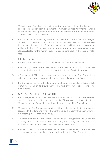

Managers and Coaches, one Junior Member from each of their families shall be entitled to exemption from the payment of membership fees. Any member unable to pay by the Club's preferred method may be permitted to pay by other means at the discretion of the Treasurer.

2.4 Additional voluntary training sessions may be held at the Team Manager's discretion and payment of subscriptions for any additional sessions shall be paid at the appropriate rate to the Team Manager at the additional session. Match fees will be collected by Team Managers or their nominees on each match day from all players selected for the match squad. No exemptions apply in the case of match fees.

### <span id="page-3-0"></span>3. CLUB COMMITTEE

- 3.1 The initial term of office for a Club Committee member shall be one year.
- 3.2 After serving three consecutive years of elected office, a Club Committee member shall be eligible to be elected for further terms of up to three years.
- 3.3 A Development Officer shall have a permanent position on the Club Committee in addition to the mandatory posts listed in the Constitution and Key Rules.
- 3.4 The Committee has the authority to appoint other persons as Club Officials or Sub-Committee members to ensure that the business of the Club can be effectively administered.

# <span id="page-3-1"></span>4. MANAGEMENT SUB-COMMITTEE

- 4.1 The Management Sub-Committee shall consist of the Club Committee members and Team Managers. Other Team and Club Officials may be allowed to attend Management Sub-Committee meetings at the invitation of the Committee.
- 4.2 Management Sub-Committee meetings will be held bi-monthly during a playing season with the date and time to be confirmed by the Committee. A minimum of five meetings per season will be held.
- 4.3 It is mandatory for a Team Manager to attend all Management Sub-Committee meetings. In the event they cannot attend they must arrange for a representative to attend in their place to give a verbal report on team affairs.
- 4.4 Any team failing to attend two consecutive Management Sub-Committee meetings will be asked to give a formal explanation to the Club Committee.

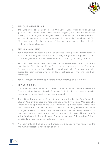

# <span id="page-4-0"></span>5. LEAGUE MEMBERSHIP

5.1 The Club shall be members of the Mid Lancs Colts Junior Football League (MLCJFL), the Central Lancs Junior Football League (CLJFL) and the Lancashire Sunday Football League (LSF League) and shall enter teams in these leagues each season at age groups to be determined by the Club Committee. All Club Members must abide by the rules of the governing league when attending matches or league business.

#### <span id="page-4-1"></span>6. TEAM MANAGERS

- 6.1 Team Managers are responsible for all activities relating to the administration of their team including but not restricted to league registration of players (via the Club's League Secretary), team selection and conducting of training sessions.
- 6.2 Team Managers who incur administrative fines shall have the first fine in any season paid by the Club. Any additional fines must be reimbursed to the Club within fourteen days of notification. Failure to do so will result in the Team Manager being suspended from participating in all team activities until the fine has been reimbursed.
- 6.3 Team Managers will attend appropriate league meetings on a rota basis.

#### <span id="page-4-2"></span>7. TEAM OFFICIALS

- 7.1 No person will be appointed to a position of Team Official until such time as the Safer Recruitment of Volunteers in Grassroots Football policy has been adhered to and a signed declaration form has been received.
- 7.2 Team Officials consist of the Team Manager appointed by the Club Committee plus an Assistant Manager and Coaches appointed by the Team Manager all of whom must be approved by the Club Committee. Approved Team Officials must be in possession of a 1st4Sport Level 1 Award in Coaching Football inclusive of Emergency Aid and Safeguarding Children qualifications or be registered on an approved 1st4Sport Level 1 Award in Coaching Football course with a County FA within 28 days of their appointment. Emergency Aid and Safeguarding Children qualifications must remain up to date at all times.
- 7.3 No Team Official shall be allowed unsupervised access to their team until the minimum qualifications have been attained.

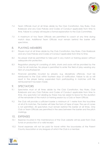

- 7.4 Team Officials must at all times abide by the Club Constitution. Key Rules, Club Rulebook and any Club Policies and Codes of Conduct applicable from time to time. Failure to comply will require a formal explanation to the Club Committee.
- 7.5 A maximum of two Team Officials are permitted to coach at any time during match days. Additional Team Officials must remain behind the barrier with spectators.

#### <span id="page-5-0"></span>8. PLAYING MEMBERS

- 8.1 Players must at all times abide by the Club Constitution, Key Rules, Club Rulebook and any Club Policies and Codes of Conduct applicable from time to time.
- 8.2 No player shall be permitted to take part in any match or training session without adequate shin protection.
- 8.3 Regulation playing kit consisting of shirts, shorts and socks will be provided by the Club for all matches. No player is permitted to enter the field of play wearing any item of unauthorised kit.
- 8.4 Financial penalties incurred by players, e.g. disciplinary offences, must be reimbursed to the Club within fourteen days of notification. Failure to do so will result in the player being suspended from participating in matches until the reimbursement has been made.

#### <span id="page-5-1"></span>9. SPECTATORS

- 9.1 Spectators must at all times abide by the Club Constitution, Key Rules, Club Rulebook and any Club Policies and Codes of Conduct applicable from time to time. Any spectator not abiding by these may be asked to leave for the duration of the remainder of the match or training session by a Club or Team Official.
- 9.2 The Club will provide a sufficient barrier a minimum of 1 metre from the touchline at all of its matches. The barrier will take the form of tape of rope. The use of cones is not permitted. All spectators must remain behind this barrier at all times. Only Club or Team Officials are permitted in the area between the barrier and the pitch markings.

#### <span id="page-5-2"></span>10. EXPENSES

- 10.1 Expense incurred in the maintenance of the Club website will be paid from Club funds on production of a valid receipt.
- 10.2 Travel expenses will not be paid for travel within the boundaries of the Parent County Association or any leagues of which the Club is a member.

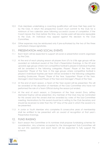

- 10.3 Club Members undertaking a coaching qualification will have their fees paid for by the Club. In return the prospective Coach must commit to the Club for a minimum of two calendar years following successful course of completion. If the Coach leaves the Club before this time, any monies paid will become repayable to the Club. An individual may appeal against this decision to the Club Committee.
- 10.4 Other expenses may be reimbursed only if pre-authorised by the two of the three authorised cheque signatories.

#### <span id="page-6-0"></span>11. PRESENTATION AND SOCIAL EVENTS

- 11.1 Each team will be expected to support all social or presentation events organised by the Club.
- 11.2 At the end of each playing season all players from U7s to U18s age groups will be awarded an individual award at the Club's Presentation Evenings. In the U9 and upwards age groups where non-competitive football is played 2 individual trophies will be awarded in the following categories: Players' Player of the Year and Supporters' Player of the Year. In the age groups where competitive football is played 5 individual trophies per team will be awarded in the following categories: Leading Goalscorer, Players' Player of the Year, Supporters' Player of the Year, Manager's Most Improved Player of the Year and Manager's Player of the Year.
- 11.3 At the end of each season, a Team of the Year award will be presented. This will be awarded at the discretion of members of the Club Committee who have not performed the role of a Team Official during the season just ended.
- 11.4 At the end of each season, a Clubperson of the Year award (Tony Jeffrey Memorial Trophy) will be presented. Any member of the Club may be nominated for this award and the award shall be awarded by votes of the Sub-Committee meeting. Nominations for this award should be in writing to the Club Secretary and should be received no later than the 10<sup>th</sup> May of the year in which the award is to be presented.
- 11.5 A Junior or Youth Member who completes 8 consecutive years of membership shall be entitled to be presented with an award of recognition at that year's Presentation Evenings.

#### <span id="page-6-1"></span>12. FUND RAISING

12.1 Each season the Committee or its nominee shall propose fundraising schemes for consideration. Any schemes accepted by the Management Sub-Committee will be put into operation and each team will be expected to fully support the scheme.